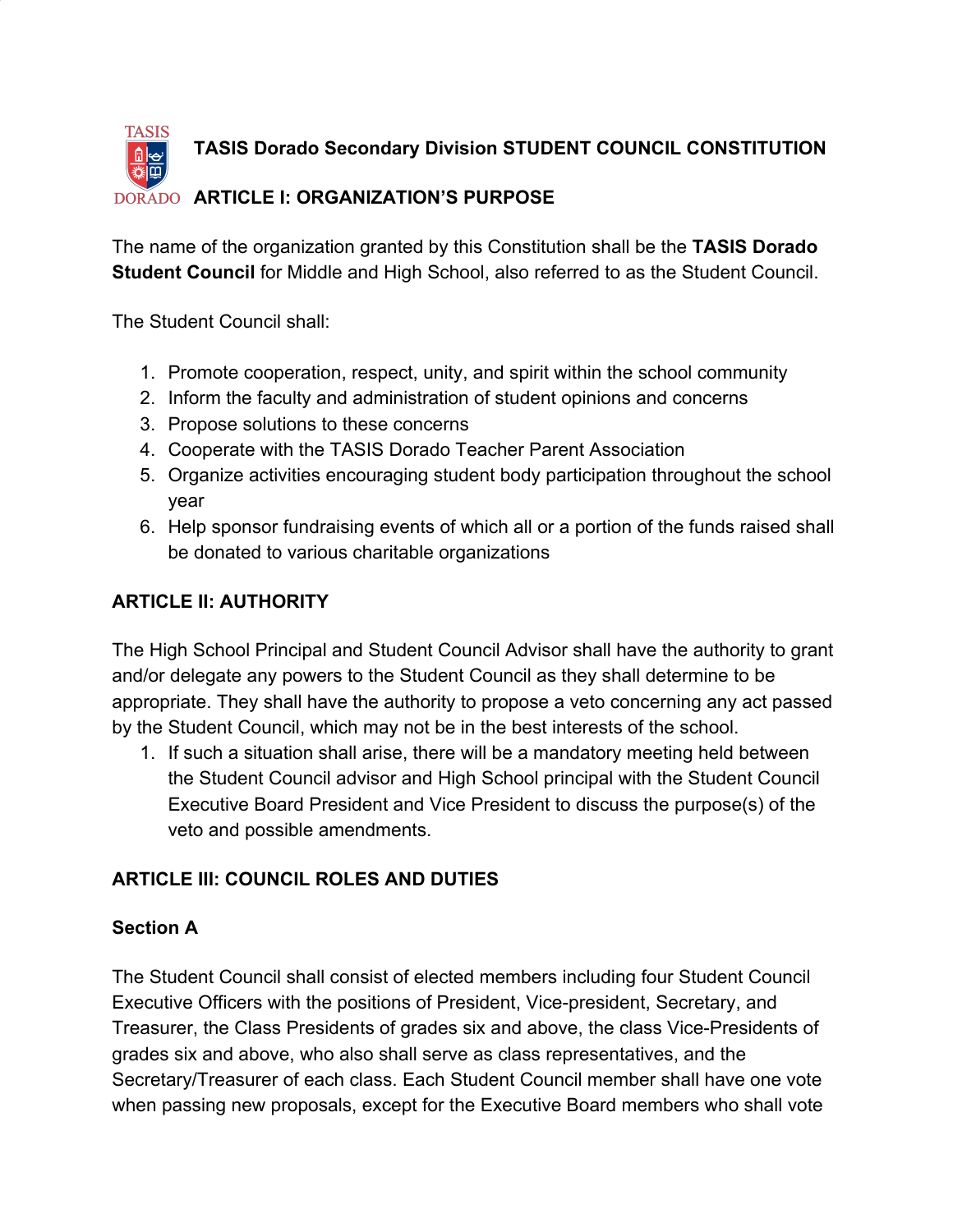

The name of the organization granted by this Constitution shall be the **TASIS Dorado Student Council** for Middle and High School, also referred to as the Student Council.

The Student Council shall:

- 1. Promote cooperation, respect, unity, and spirit within the school community
- 2. Inform the faculty and administration of student opinions and concerns
- 3. Propose solutions to these concerns
- 4. Cooperate with the TASIS Dorado Teacher Parent Association
- 5. Organize activities encouraging student body participation throughout the school year
- 6. Help sponsor fundraising events of which all or a portion of the funds raised shall be donated to various charitable organizations

### **ARTICLE II: AUTHORITY**

The High School Principal and Student Council Advisor shall have the authority to grant and/or delegate any powers to the Student Council as they shall determine to be appropriate. They shall have the authority to propose a veto concerning any act passed by the Student Council, which may not be in the best interests of the school.

1. If such a situation shall arise, there will be a mandatory meeting held between the Student Council advisor and High School principal with the Student Council Executive Board President and Vice President to discuss the purpose(s) of the veto and possible amendments.

### **ARTICLE III: COUNCIL ROLES AND DUTIES**

#### **Section A**

The Student Council shall consist of elected members including four Student Council Executive Officers with the positions of President, Vice-president, Secretary, and Treasurer, the Class Presidents of grades six and above, the class Vice-Presidents of grades six and above, who also shall serve as class representatives, and the Secretary/Treasurer of each class. Each Student Council member shall have one vote when passing new proposals, except for the Executive Board members who shall vote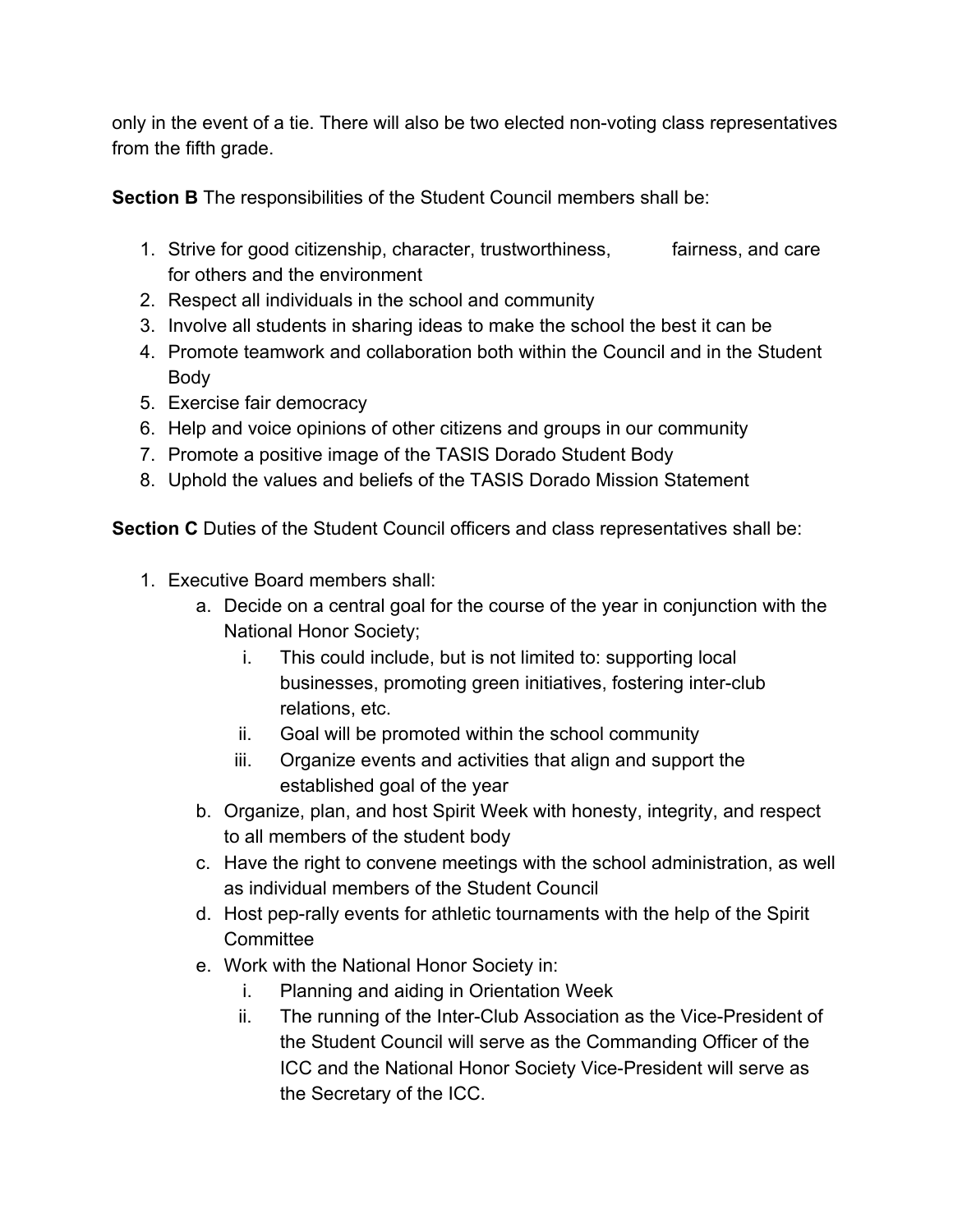only in the event of a tie. There will also be two elected non-voting class representatives from the fifth grade.

**Section B** The responsibilities of the Student Council members shall be:

- 1. Strive for good citizenship, character, trustworthiness, fairness, and care for others and the environment
- 2. Respect all individuals in the school and community
- 3. Involve all students in sharing ideas to make the school the best it can be
- 4. Promote teamwork and collaboration both within the Council and in the Student Body
- 5. Exercise fair democracy
- 6. Help and voice opinions of other citizens and groups in our community
- 7. Promote a positive image of the TASIS Dorado Student Body
- 8. Uphold the values and beliefs of the TASIS Dorado Mission Statement

**Section C** Duties of the Student Council officers and class representatives shall be:

- 1. Executive Board members shall:
	- a. Decide on a central goal for the course of the year in conjunction with the National Honor Society;
		- i. This could include, but is not limited to: supporting local businesses, promoting green initiatives, fostering inter-club relations, etc.
		- ii. Goal will be promoted within the school community
		- iii. Organize events and activities that align and support the established goal of the year
	- b. Organize, plan, and host Spirit Week with honesty, integrity, and respect to all members of the student body
	- c. Have the right to convene meetings with the school administration, as well as individual members of the Student Council
	- d. Host pep-rally events for athletic tournaments with the help of the Spirit **Committee**
	- e. Work with the National Honor Society in:
		- i. Planning and aiding in Orientation Week
		- ii. The running of the Inter-Club Association as the Vice-President of the Student Council will serve as the Commanding Officer of the ICC and the National Honor Society Vice-President will serve as the Secretary of the ICC.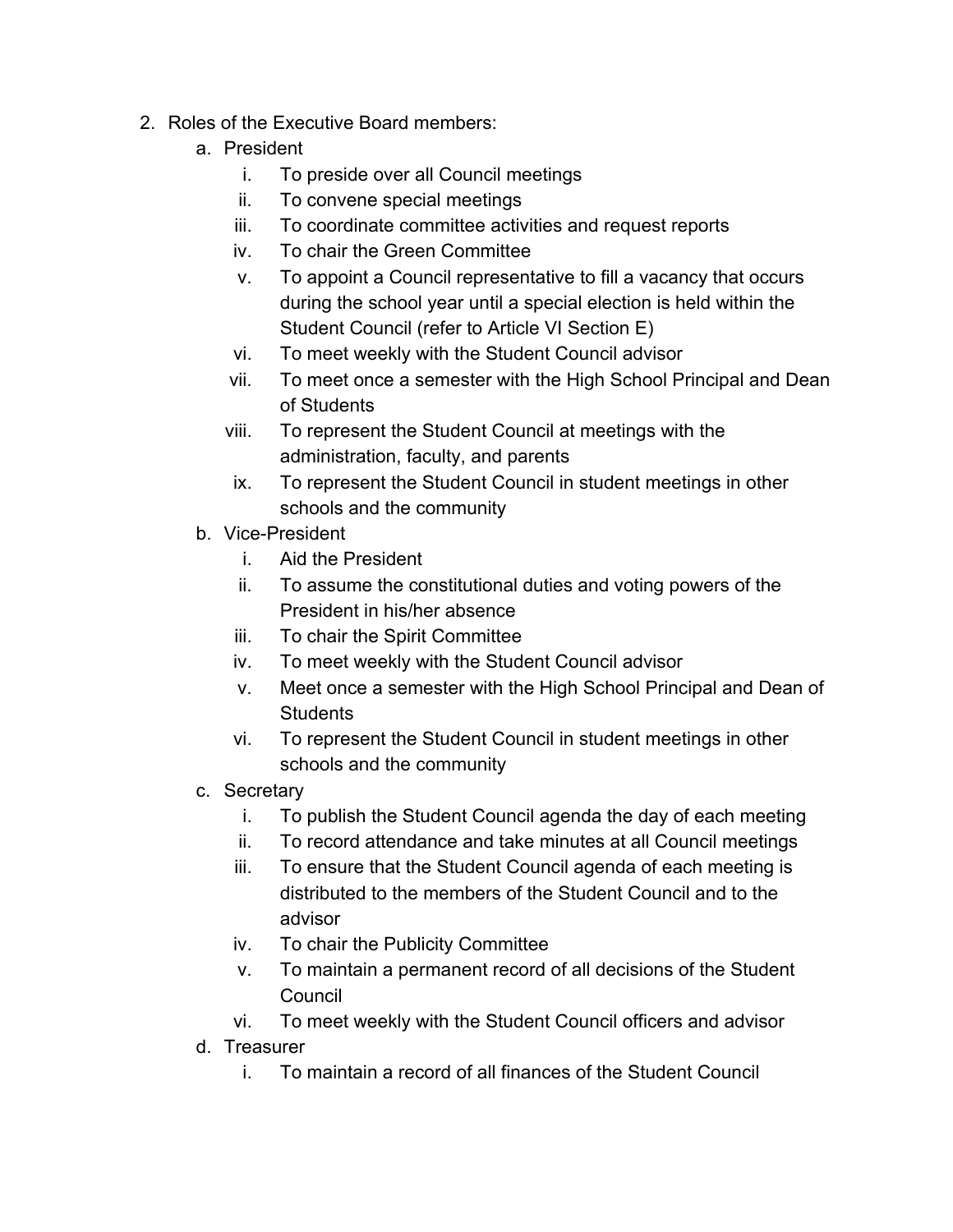- 2. Roles of the Executive Board members:
	- a. President
		- i. To preside over all Council meetings
		- ii. To convene special meetings
		- iii. To coordinate committee activities and request reports
		- iv. To chair the Green Committee
		- v. To appoint a Council representative to fill a vacancy that occurs during the school year until a special election is held within the Student Council (refer to Article VI Section E)
		- vi. To meet weekly with the Student Council advisor
		- vii. To meet once a semester with the High School Principal and Dean of Students
		- viii. To represent the Student Council at meetings with the administration, faculty, and parents
		- ix. To represent the Student Council in student meetings in other schools and the community
	- b. Vice-President
		- i. Aid the President
		- ii. To assume the constitutional duties and voting powers of the President in his/her absence
		- iii. To chair the Spirit Committee
		- iv. To meet weekly with the Student Council advisor
		- v. Meet once a semester with the High School Principal and Dean of **Students**
		- vi. To represent the Student Council in student meetings in other schools and the community
	- c. Secretary
		- i. To publish the Student Council agenda the day of each meeting
		- ii. To record attendance and take minutes at all Council meetings
		- iii. To ensure that the Student Council agenda of each meeting is distributed to the members of the Student Council and to the advisor
		- iv. To chair the Publicity Committee
		- v. To maintain a permanent record of all decisions of the Student **Council**
		- vi. To meet weekly with the Student Council officers and advisor
	- d. Treasurer
		- i. To maintain a record of all finances of the Student Council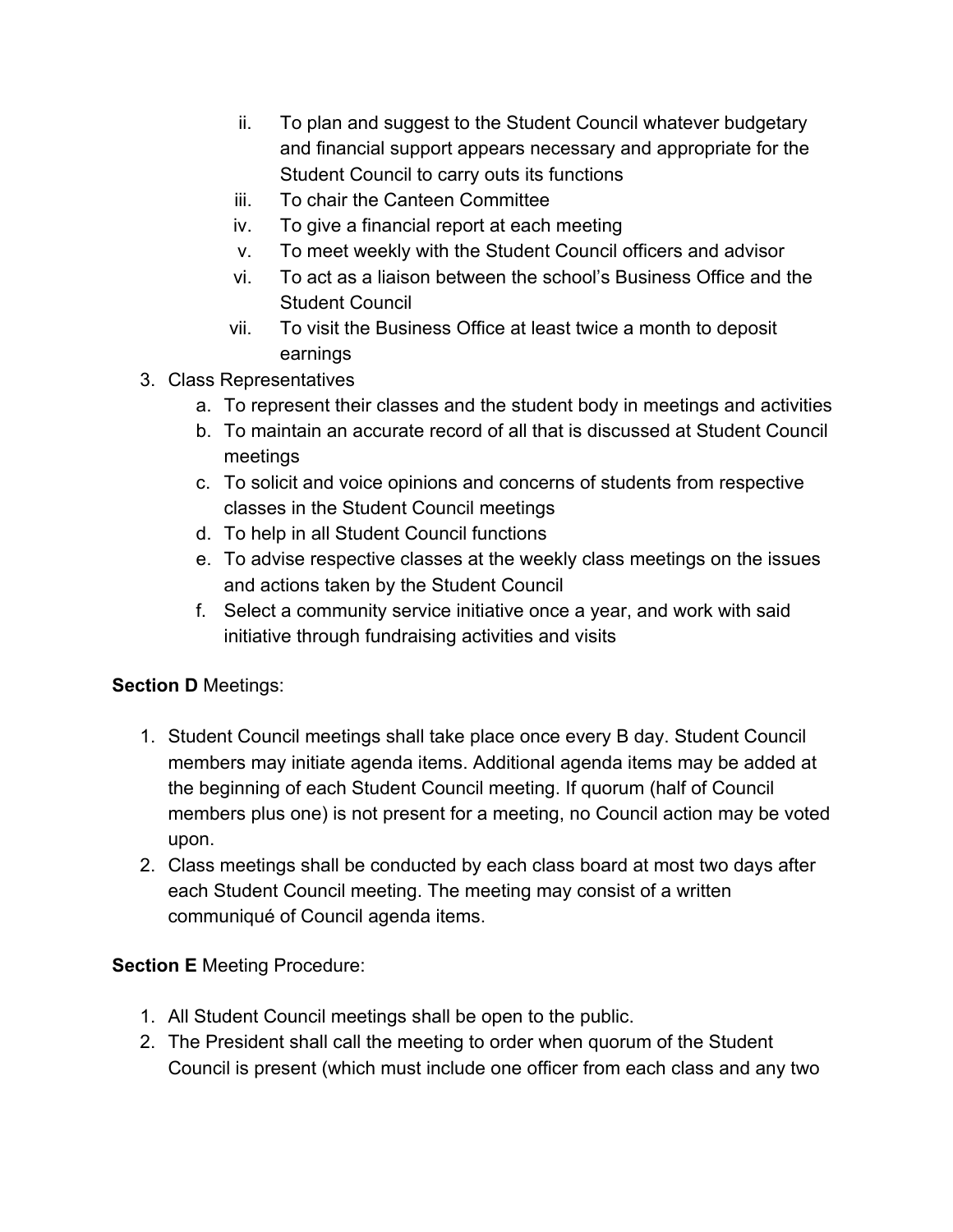- ii. To plan and suggest to the Student Council whatever budgetary and financial support appears necessary and appropriate for the Student Council to carry outs its functions
- iii. To chair the Canteen Committee
- iv. To give a financial report at each meeting
- v. To meet weekly with the Student Council officers and advisor
- vi. To act as a liaison between the school's Business Office and the Student Council
- vii. To visit the Business Office at least twice a month to deposit earnings
- 3. Class Representatives
	- a. To represent their classes and the student body in meetings and activities
	- b. To maintain an accurate record of all that is discussed at Student Council meetings
	- c. To solicit and voice opinions and concerns of students from respective classes in the Student Council meetings
	- d. To help in all Student Council functions
	- e. To advise respective classes at the weekly class meetings on the issues and actions taken by the Student Council
	- f. Select a community service initiative once a year, and work with said initiative through fundraising activities and visits

### **Section D** Meetings:

- 1. Student Council meetings shall take place once every B day. Student Council members may initiate agenda items. Additional agenda items may be added at the beginning of each Student Council meeting. If quorum (half of Council members plus one) is not present for a meeting, no Council action may be voted upon.
- 2. Class meetings shall be conducted by each class board at most two days after each Student Council meeting. The meeting may consist of a written communiqué of Council agenda items.

#### **Section E** Meeting Procedure:

- 1. All Student Council meetings shall be open to the public.
- 2. The President shall call the meeting to order when quorum of the Student Council is present (which must include one officer from each class and any two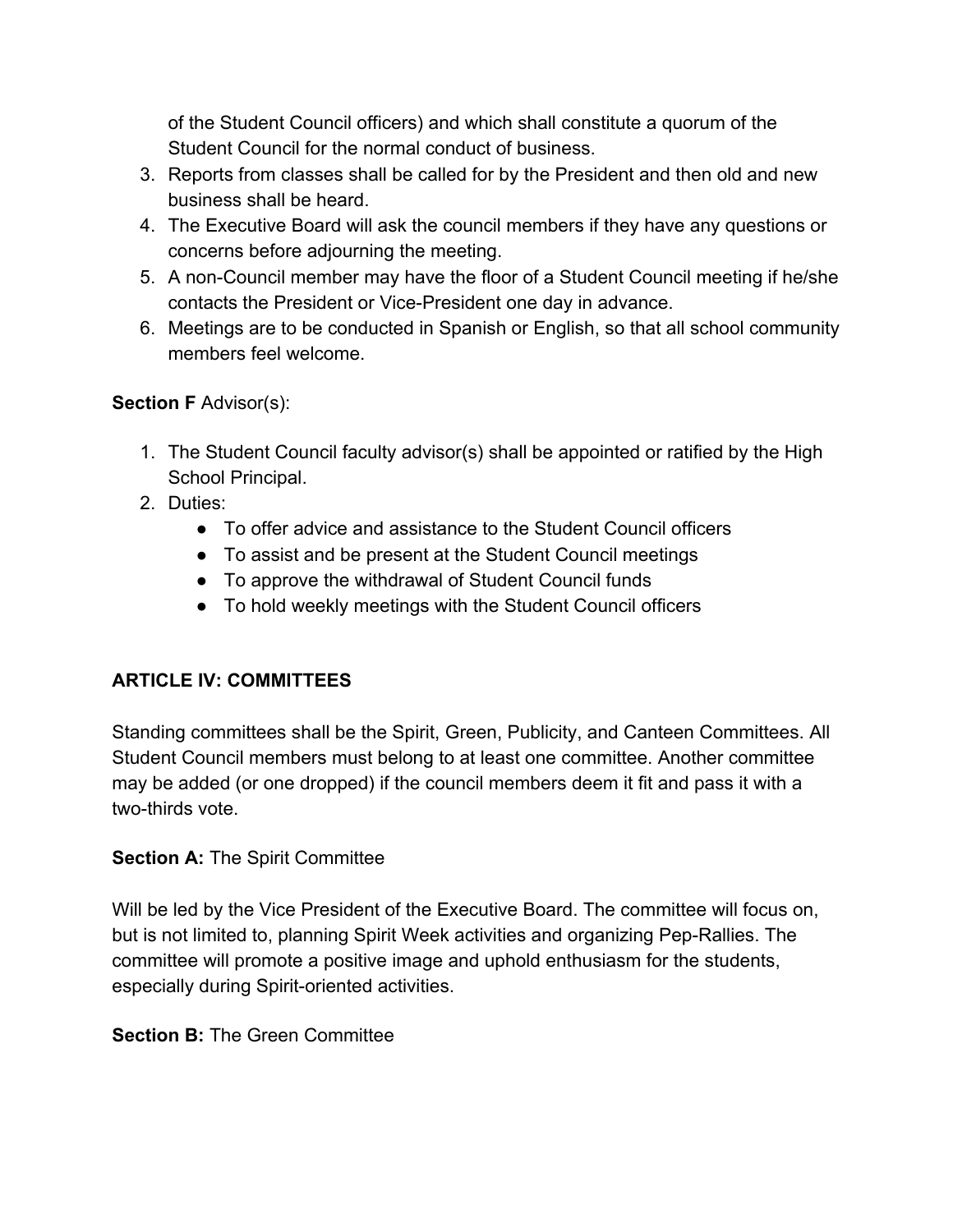of the Student Council officers) and which shall constitute a quorum of the Student Council for the normal conduct of business.

- 3. Reports from classes shall be called for by the President and then old and new business shall be heard.
- 4. The Executive Board will ask the council members if they have any questions or concerns before adjourning the meeting.
- 5. A non-Council member may have the floor of a Student Council meeting if he/she contacts the President or Vice-President one day in advance.
- 6. Meetings are to be conducted in Spanish or English, so that all school community members feel welcome.

### **Section F** Advisor(s):

- 1. The Student Council faculty advisor(s) shall be appointed or ratified by the High School Principal.
- 2. Duties:
	- To offer advice and assistance to the Student Council officers
	- To assist and be present at the Student Council meetings
	- To approve the withdrawal of Student Council funds
	- To hold weekly meetings with the Student Council officers

# **ARTICLE IV: COMMITTEES**

Standing committees shall be the Spirit, Green, Publicity, and Canteen Committees. All Student Council members must belong to at least one committee. Another committee may be added (or one dropped) if the council members deem it fit and pass it with a two-thirds vote.

### **Section A: The Spirit Committee**

Will be led by the Vice President of the Executive Board. The committee will focus on, but is not limited to, planning Spirit Week activities and organizing Pep-Rallies. The committee will promote a positive image and uphold enthusiasm for the students, especially during Spirit-oriented activities.

### **Section B: The Green Committee**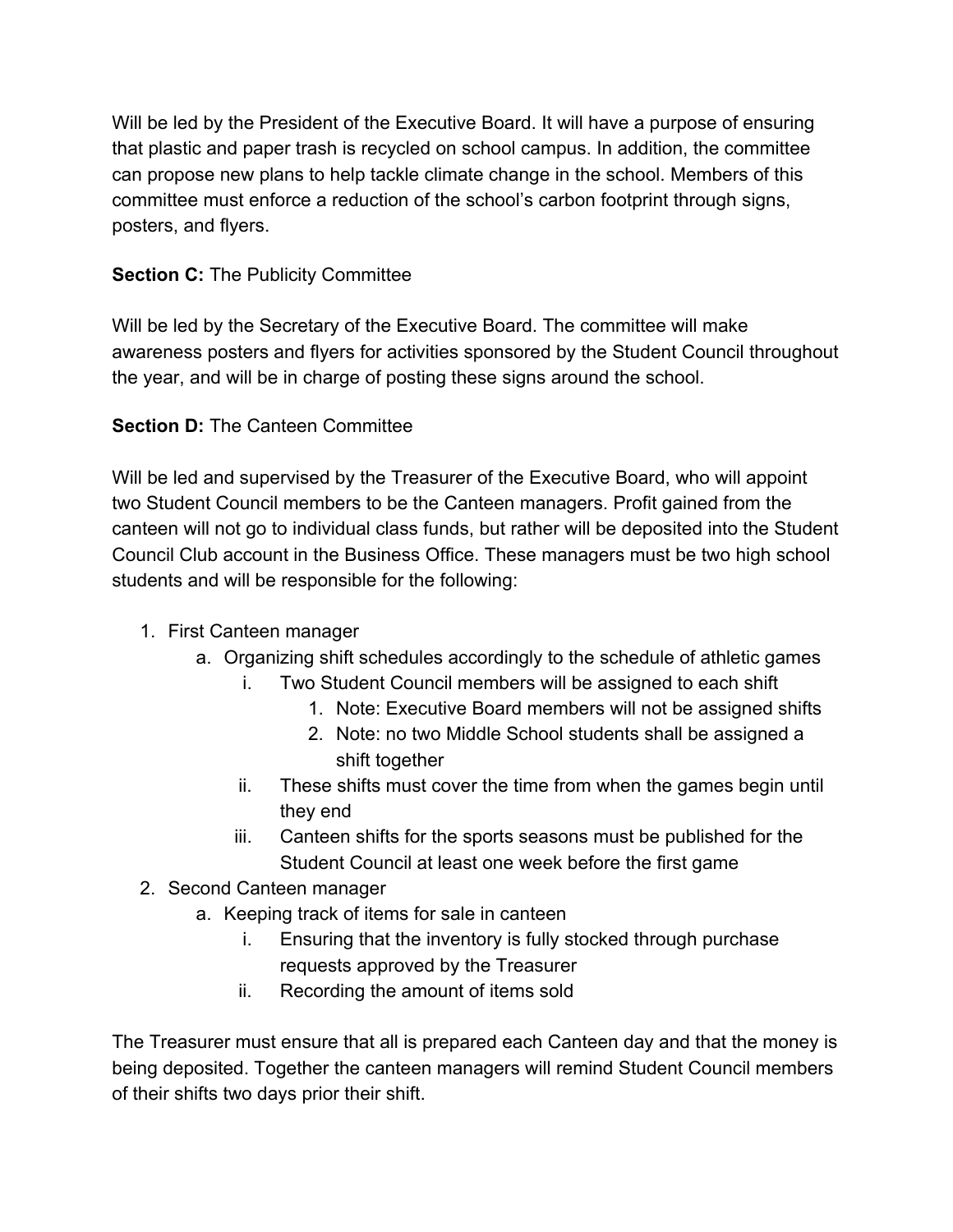Will be led by the President of the Executive Board. It will have a purpose of ensuring that plastic and paper trash is recycled on school campus. In addition, the committee can propose new plans to help tackle climate change in the school. Members of this committee must enforce a reduction of the school's carbon footprint through signs, posters, and flyers.

### **Section C: The Publicity Committee**

Will be led by the Secretary of the Executive Board. The committee will make awareness posters and flyers for activities sponsored by the Student Council throughout the year, and will be in charge of posting these signs around the school.

## **Section D:** The Canteen Committee

Will be led and supervised by the Treasurer of the Executive Board, who will appoint two Student Council members to be the Canteen managers. Profit gained from the canteen will not go to individual class funds, but rather will be deposited into the Student Council Club account in the Business Office. These managers must be two high school students and will be responsible for the following:

- 1. First Canteen manager
	- a. Organizing shift schedules accordingly to the schedule of athletic games
		- i. Two Student Council members will be assigned to each shift
			- 1. Note: Executive Board members will not be assigned shifts
				- 2. Note: no two Middle School students shall be assigned a shift together
		- ii. These shifts must cover the time from when the games begin until they end
		- iii. Canteen shifts for the sports seasons must be published for the Student Council at least one week before the first game
- 2. Second Canteen manager
	- a. Keeping track of items for sale in canteen
		- i. Ensuring that the inventory is fully stocked through purchase requests approved by the Treasurer
		- ii. Recording the amount of items sold

The Treasurer must ensure that all is prepared each Canteen day and that the money is being deposited. Together the canteen managers will remind Student Council members of their shifts two days prior their shift.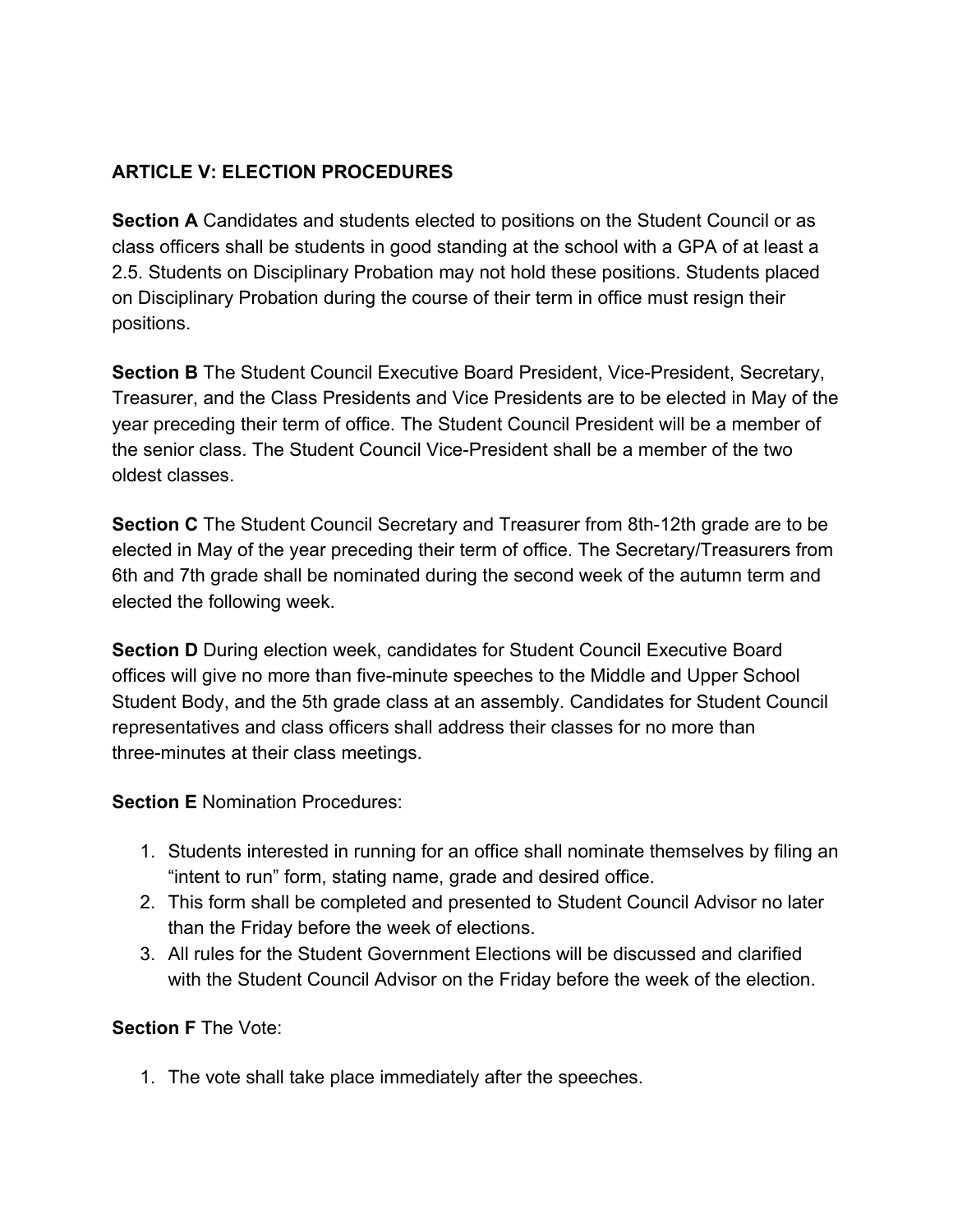## **ARTICLE V: ELECTION PROCEDURES**

**Section A** Candidates and students elected to positions on the Student Council or as class officers shall be students in good standing at the school with a GPA of at least a 2.5. Students on Disciplinary Probation may not hold these positions. Students placed on Disciplinary Probation during the course of their term in office must resign their positions.

**Section B** The Student Council Executive Board President, Vice-President, Secretary, Treasurer, and the Class Presidents and Vice Presidents are to be elected in May of the year preceding their term of office. The Student Council President will be a member of the senior class. The Student Council Vice-President shall be a member of the two oldest classes.

**Section C** The Student Council Secretary and Treasurer from 8th-12th grade are to be elected in May of the year preceding their term of office. The Secretary/Treasurers from 6th and 7th grade shall be nominated during the second week of the autumn term and elected the following week.

**Section D** During election week, candidates for Student Council Executive Board offices will give no more than five-minute speeches to the Middle and Upper School Student Body, and the 5th grade class at an assembly. Candidates for Student Council representatives and class officers shall address their classes for no more than three-minutes at their class meetings.

**Section E** Nomination Procedures:

- 1. Students interested in running for an office shall nominate themselves by filing an "intent to run" form, stating name, grade and desired office.
- 2. This form shall be completed and presented to Student Council Advisor no later than the Friday before the week of elections.
- 3. All rules for the Student Government Elections will be discussed and clarified with the Student Council Advisor on the Friday before the week of the election.

**Section F** The Vote:

1. The vote shall take place immediately after the speeches.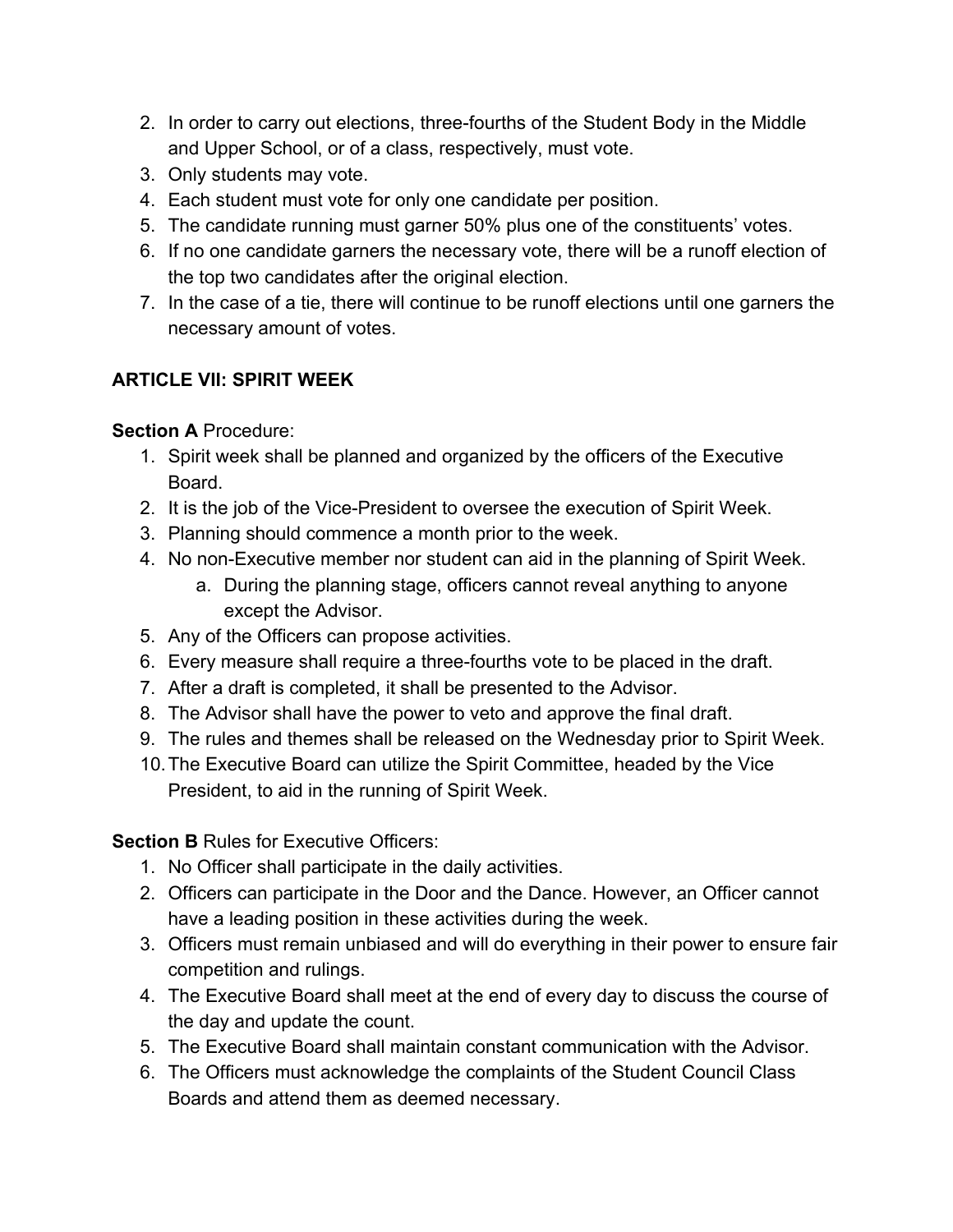- 2. In order to carry out elections, three-fourths of the Student Body in the Middle and Upper School, or of a class, respectively, must vote.
- 3. Only students may vote.
- 4. Each student must vote for only one candidate per position.
- 5. The candidate running must garner 50% plus one of the constituents' votes.
- 6. If no one candidate garners the necessary vote, there will be a runoff election of the top two candidates after the original election.
- 7. In the case of a tie, there will continue to be runoff elections until one garners the necessary amount of votes.

# **ARTICLE VII: SPIRIT WEEK**

# **Section A** Procedure:

- 1. Spirit week shall be planned and organized by the officers of the Executive Board.
- 2. It is the job of the Vice-President to oversee the execution of Spirit Week.
- 3. Planning should commence a month prior to the week.
- 4. No non-Executive member nor student can aid in the planning of Spirit Week.
	- a. During the planning stage, officers cannot reveal anything to anyone except the Advisor.
- 5. Any of the Officers can propose activities.
- 6. Every measure shall require a three-fourths vote to be placed in the draft.
- 7. After a draft is completed, it shall be presented to the Advisor.
- 8. The Advisor shall have the power to veto and approve the final draft.
- 9. The rules and themes shall be released on the Wednesday prior to Spirit Week.
- 10.The Executive Board can utilize the Spirit Committee, headed by the Vice President, to aid in the running of Spirit Week.

# **Section B Rules for Executive Officers:**

- 1. No Officer shall participate in the daily activities.
- 2. Officers can participate in the Door and the Dance. However, an Officer cannot have a leading position in these activities during the week.
- 3. Officers must remain unbiased and will do everything in their power to ensure fair competition and rulings.
- 4. The Executive Board shall meet at the end of every day to discuss the course of the day and update the count.
- 5. The Executive Board shall maintain constant communication with the Advisor.
- 6. The Officers must acknowledge the complaints of the Student Council Class Boards and attend them as deemed necessary.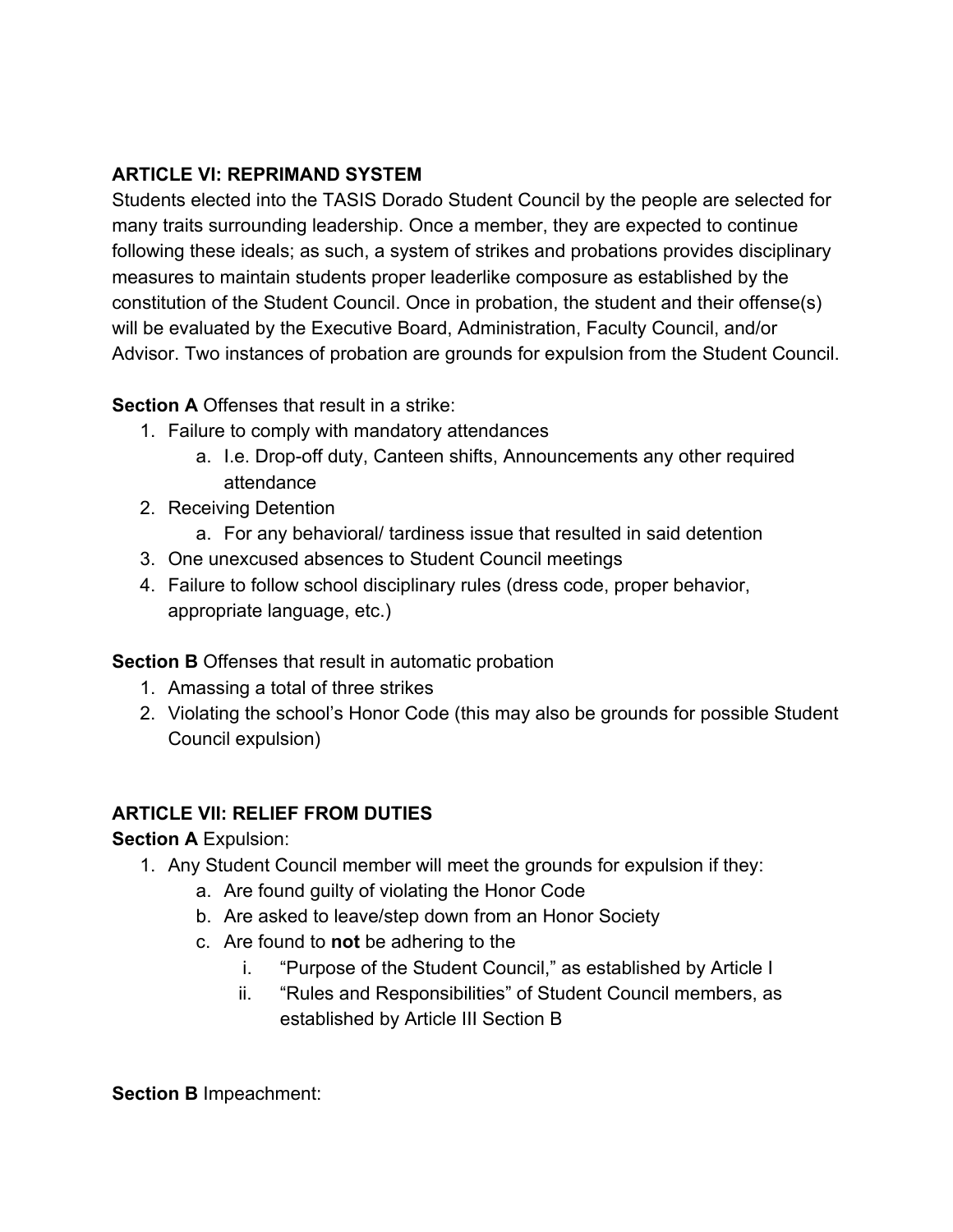## **ARTICLE VI: REPRIMAND SYSTEM**

Students elected into the TASIS Dorado Student Council by the people are selected for many traits surrounding leadership. Once a member, they are expected to continue following these ideals; as such, a system of strikes and probations provides disciplinary measures to maintain students proper leaderlike composure as established by the constitution of the Student Council. Once in probation, the student and their offense(s) will be evaluated by the Executive Board, Administration, Faculty Council, and/or Advisor. Two instances of probation are grounds for expulsion from the Student Council.

## **Section A** Offenses that result in a strike:

- 1. Failure to comply with mandatory attendances
	- a. I.e. Drop-off duty, Canteen shifts, Announcements any other required attendance
- 2. Receiving Detention
	- a. For any behavioral/ tardiness issue that resulted in said detention
- 3. One unexcused absences to Student Council meetings
- 4. Failure to follow school disciplinary rules (dress code, proper behavior, appropriate language, etc.)

### **Section B** Offenses that result in automatic probation

- 1. Amassing a total of three strikes
- 2. Violating the school's Honor Code (this may also be grounds for possible Student Council expulsion)

# **ARTICLE VII: RELIEF FROM DUTIES**

**Section A** Expulsion:

- 1. Any Student Council member will meet the grounds for expulsion if they:
	- a. Are found guilty of violating the Honor Code
	- b. Are asked to leave/step down from an Honor Society
	- c. Are found to **not** be adhering to the
		- i. "Purpose of the Student Council," as established by Article I
		- ii. "Rules and Responsibilities" of Student Council members, as established by Article III Section B

**Section B** Impeachment: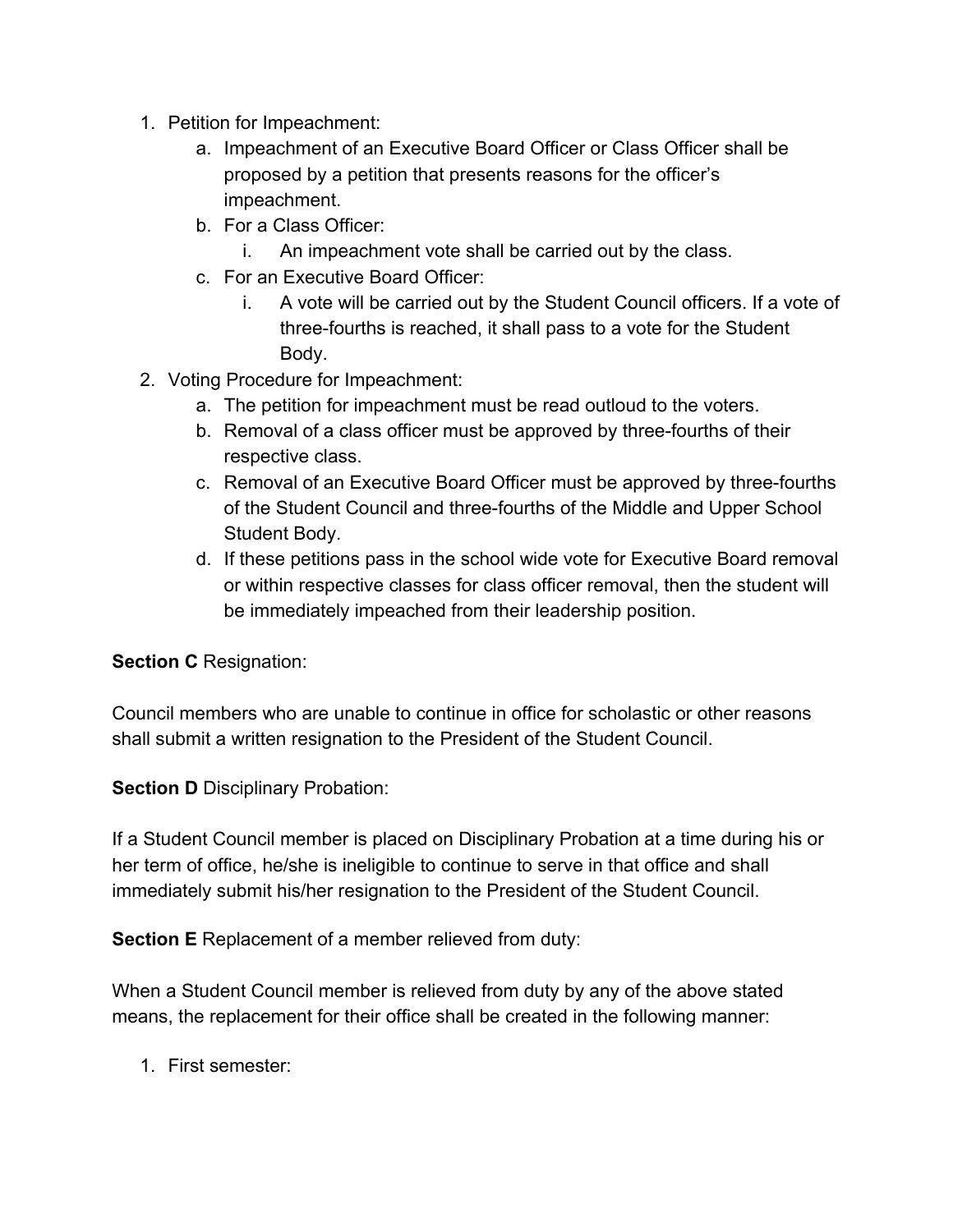- 1. Petition for Impeachment:
	- a. Impeachment of an Executive Board Officer or Class Officer shall be proposed by a petition that presents reasons for the officer's impeachment.
	- b. For a Class Officer:
		- i. An impeachment vote shall be carried out by the class.
	- c. For an Executive Board Officer:
		- i. A vote will be carried out by the Student Council officers. If a vote of three-fourths is reached, it shall pass to a vote for the Student Body.
- 2. Voting Procedure for Impeachment:
	- a. The petition for impeachment must be read outloud to the voters.
	- b. Removal of a class officer must be approved by three-fourths of their respective class.
	- c. Removal of an Executive Board Officer must be approved by three-fourths of the Student Council and three-fourths of the Middle and Upper School Student Body.
	- d. If these petitions pass in the school wide vote for Executive Board removal or within respective classes for class officer removal, then the student will be immediately impeached from their leadership position.

#### **Section C** Resignation:

Council members who are unable to continue in office for scholastic or other reasons shall submit a written resignation to the President of the Student Council.

**Section D** Disciplinary Probation:

If a Student Council member is placed on Disciplinary Probation at a time during his or her term of office, he/she is ineligible to continue to serve in that office and shall immediately submit his/her resignation to the President of the Student Council.

**Section E** Replacement of a member relieved from duty:

When a Student Council member is relieved from duty by any of the above stated means, the replacement for their office shall be created in the following manner:

1. First semester: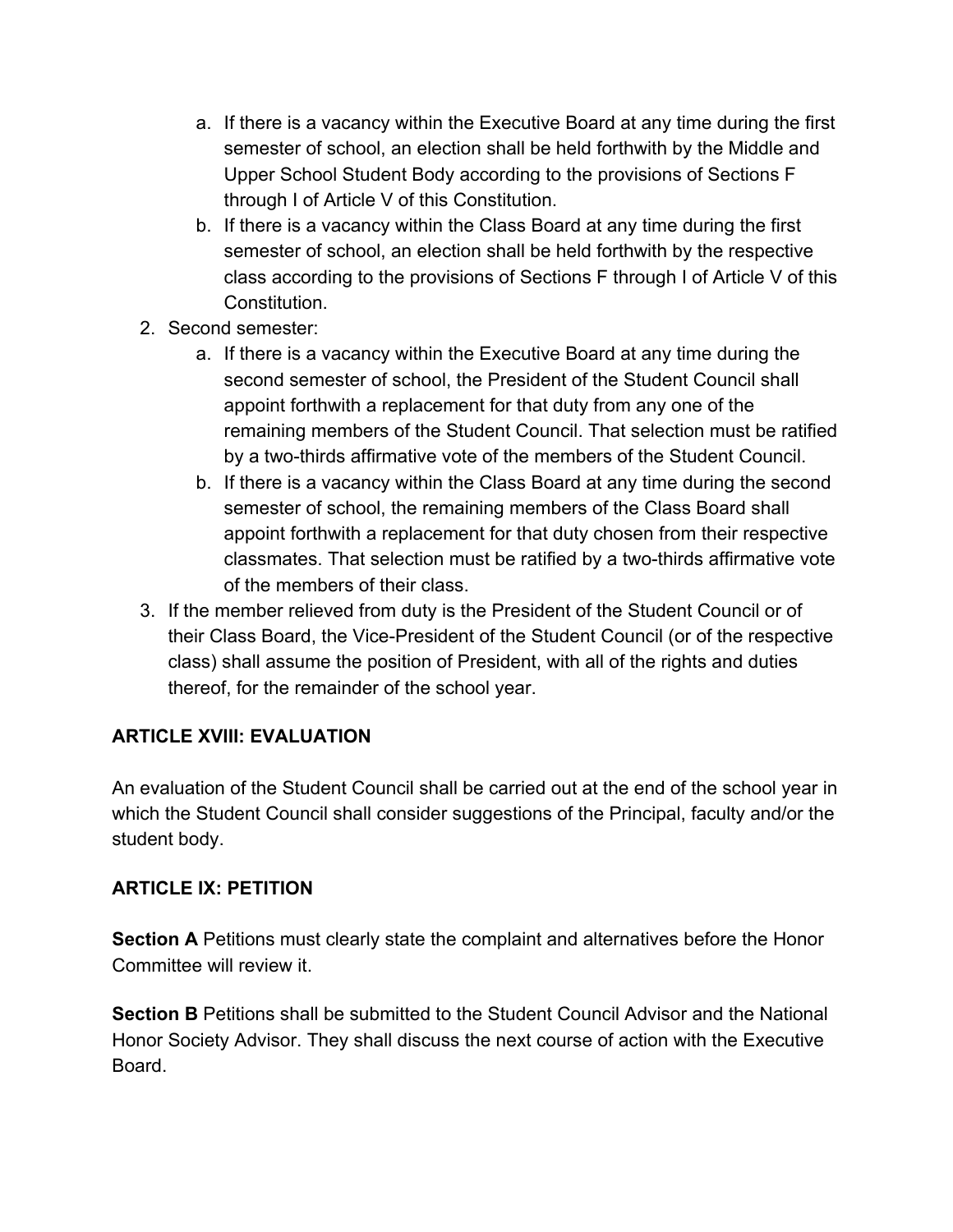- a. If there is a vacancy within the Executive Board at any time during the first semester of school, an election shall be held forthwith by the Middle and Upper School Student Body according to the provisions of Sections F through I of Article V of this Constitution.
- b. If there is a vacancy within the Class Board at any time during the first semester of school, an election shall be held forthwith by the respective class according to the provisions of Sections F through I of Article V of this Constitution.
- 2. Second semester:
	- a. If there is a vacancy within the Executive Board at any time during the second semester of school, the President of the Student Council shall appoint forthwith a replacement for that duty from any one of the remaining members of the Student Council. That selection must be ratified by a two-thirds affirmative vote of the members of the Student Council.
	- b. If there is a vacancy within the Class Board at any time during the second semester of school, the remaining members of the Class Board shall appoint forthwith a replacement for that duty chosen from their respective classmates. That selection must be ratified by a two-thirds affirmative vote of the members of their class.
- 3. If the member relieved from duty is the President of the Student Council or of their Class Board, the Vice-President of the Student Council (or of the respective class) shall assume the position of President, with all of the rights and duties thereof, for the remainder of the school year.

### **ARTICLE XVIII: EVALUATION**

An evaluation of the Student Council shall be carried out at the end of the school year in which the Student Council shall consider suggestions of the Principal, faculty and/or the student body.

### **ARTICLE IX: PETITION**

**Section A** Petitions must clearly state the complaint and alternatives before the Honor Committee will review it.

**Section B** Petitions shall be submitted to the Student Council Advisor and the National Honor Society Advisor. They shall discuss the next course of action with the Executive Board.